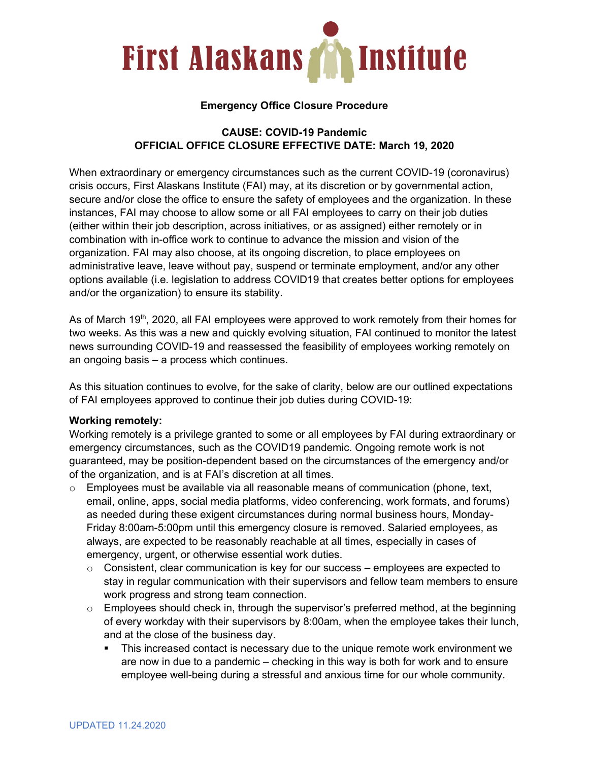

## **Emergency Office Closure Procedure**

## **CAUSE: COVID-19 Pandemic OFFICIAL OFFICE CLOSURE EFFECTIVE DATE: March 19, 2020**

When extraordinary or emergency circumstances such as the current COVID-19 (coronavirus) crisis occurs, First Alaskans Institute (FAI) may, at its discretion or by governmental action, secure and/or close the office to ensure the safety of employees and the organization. In these instances, FAI may choose to allow some or all FAI employees to carry on their job duties (either within their job description, across initiatives, or as assigned) either remotely or in combination with in-office work to continue to advance the mission and vision of the organization. FAI may also choose, at its ongoing discretion, to place employees on administrative leave, leave without pay, suspend or terminate employment, and/or any other options available (i.e. legislation to address COVID19 that creates better options for employees and/or the organization) to ensure its stability.

As of March 19<sup>th</sup>, 2020, all FAI employees were approved to work remotely from their homes for two weeks. As this was a new and quickly evolving situation, FAI continued to monitor the latest news surrounding COVID-19 and reassessed the feasibility of employees working remotely on an ongoing basis – a process which continues.

As this situation continues to evolve, for the sake of clarity, below are our outlined expectations of FAI employees approved to continue their job duties during COVID-19:

## **Working remotely:**

Working remotely is a privilege granted to some or all employees by FAI during extraordinary or emergency circumstances, such as the COVID19 pandemic. Ongoing remote work is not guaranteed, may be position-dependent based on the circumstances of the emergency and/or of the organization, and is at FAI's discretion at all times.

- $\circ$  Employees must be available via all reasonable means of communication (phone, text, email, online, apps, social media platforms, video conferencing, work formats, and forums) as needed during these exigent circumstances during normal business hours, Monday-Friday 8:00am-5:00pm until this emergency closure is removed. Salaried employees, as always, are expected to be reasonably reachable at all times, especially in cases of emergency, urgent, or otherwise essential work duties.
	- $\circ$  Consistent, clear communication is key for our success employees are expected to stay in regular communication with their supervisors and fellow team members to ensure work progress and strong team connection.
	- $\circ$  Employees should check in, through the supervisor's preferred method, at the beginning of every workday with their supervisors by 8:00am, when the employee takes their lunch, and at the close of the business day.
		- This increased contact is necessary due to the unique remote work environment we are now in due to a pandemic – checking in this way is both for work and to ensure employee well-being during a stressful and anxious time for our whole community.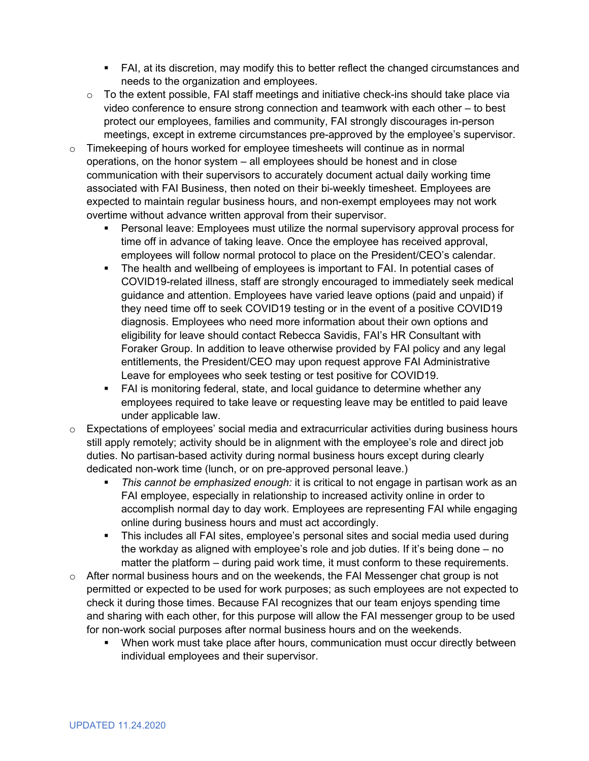- FAI, at its discretion, may modify this to better reflect the changed circumstances and needs to the organization and employees.
- o To the extent possible, FAI staff meetings and initiative check-ins should take place via video conference to ensure strong connection and teamwork with each other – to best protect our employees, families and community, FAI strongly discourages in-person meetings, except in extreme circumstances pre-approved by the employee's supervisor.
- o Timekeeping of hours worked for employee timesheets will continue as in normal operations, on the honor system – all employees should be honest and in close communication with their supervisors to accurately document actual daily working time associated with FAI Business, then noted on their bi-weekly timesheet. Employees are expected to maintain regular business hours, and non-exempt employees may not work overtime without advance written approval from their supervisor.
	- **Personal leave: Employees must utilize the normal supervisory approval process for** time off in advance of taking leave. Once the employee has received approval, employees will follow normal protocol to place on the President/CEO's calendar.
	- The health and wellbeing of employees is important to FAI. In potential cases of COVID19-related illness, staff are strongly encouraged to immediately seek medical guidance and attention. Employees have varied leave options (paid and unpaid) if they need time off to seek COVID19 testing or in the event of a positive COVID19 diagnosis. Employees who need more information about their own options and eligibility for leave should contact Rebecca Savidis, FAI's HR Consultant with Foraker Group. In addition to leave otherwise provided by FAI policy and any legal entitlements, the President/CEO may upon request approve FAI Administrative Leave for employees who seek testing or test positive for COVID19.
	- FAI is monitoring federal, state, and local guidance to determine whether any employees required to take leave or requesting leave may be entitled to paid leave under applicable law.
- $\circ$  Expectations of employees' social media and extracurricular activities during business hours still apply remotely; activity should be in alignment with the employee's role and direct job duties. No partisan-based activity during normal business hours except during clearly dedicated non-work time (lunch, or on pre-approved personal leave.)
	- *This cannot be emphasized enough:* it is critical to not engage in partisan work as an FAI employee, especially in relationship to increased activity online in order to accomplish normal day to day work. Employees are representing FAI while engaging online during business hours and must act accordingly.
	- This includes all FAI sites, employee's personal sites and social media used during the workday as aligned with employee's role and job duties. If it's being done – no matter the platform – during paid work time, it must conform to these requirements.
- o After normal business hours and on the weekends, the FAI Messenger chat group is not permitted or expected to be used for work purposes; as such employees are not expected to check it during those times. Because FAI recognizes that our team enjoys spending time and sharing with each other, for this purpose will allow the FAI messenger group to be used for non-work social purposes after normal business hours and on the weekends.
	- **When work must take place after hours, communication must occur directly between** individual employees and their supervisor.